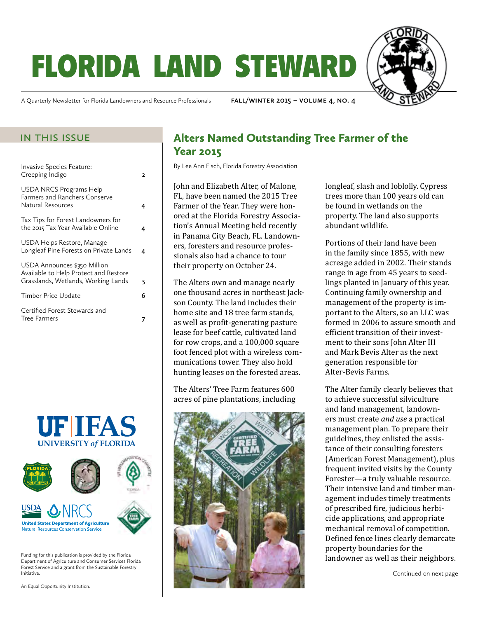# florida land steward

A Quarterly Newsletter for Florida Landowners and Resource Professionals **fall/winter 2015 – volume 4, no. 4**

| Invasive Species Feature:<br>Creeping Indigo                                                                 | , |
|--------------------------------------------------------------------------------------------------------------|---|
| <b>USDA NRCS Programs Help</b><br>Farmers and Ranchers Conserve<br>Natural Resources                         |   |
| Tax Tips for Forest Landowners for<br>the 2015 Tax Year Available Online                                     |   |
| USDA Helps Restore, Manage<br>Longleaf Pine Forests on Private Lands                                         | 4 |
| USDA Announces \$350 Million<br>Available to Help Protect and Restore<br>Grasslands, Wetlands, Working Lands | 5 |
| Timber Price Update                                                                                          | 6 |
| Certified Forest Stewards and<br><b>Tree Farmers</b>                                                         |   |





Funding for this publication is provided by the Florida Department of Agriculture and Consumer Services Florida Forest Service and a grant from the Sustainable Forestry Initiative.

An Equal Opportunity Institution.

### IN THIS ISSUE **Alters Named Outstanding Tree Farmer of the** Year 2015

By Lee Ann Fisch, Florida Forestry Association

John and Elizabeth Alter, of Malone, FL, have been named the 2015 Tree Farmer of the Year. They were honored at the Florida Forestry Association's Annual Meeting held recently in Panama City Beach, FL. Landowners, foresters and resource professionals also had a chance to tour their property on October 24.

The Alters own and manage nearly one thousand acres in northeast Jackson County. The land includes their home site and 18 tree farm stands, as well as profit-generating pasture lease for beef cattle, cultivated land for row crops, and a 100,000 square foot fenced plot with a wireless communications tower. They also hold hunting leases on the forested areas.

The Alters' Tree Farm features 600 acres of pine plantations, including



longleaf, slash and loblolly. Cypress trees more than 100 years old can be found in wetlands on the property. The land also supports abundant wildlife.

Portions of their land have been in the family since 1855, with new acreage added in 2002. Their stands range in age from 45 years to seedlings planted in January of this year. Continuing family ownership and management of the property is important to the Alters, so an LLC was formed in 2006 to assure smooth and efficient transition of their investment to their sons John Alter III and Mark Bevis Alter as the next generation responsible for Alter-Bevis Farms.

The Alter family clearly believes that to achieve successful silviculture and land management, landowners must create *and use* a practical management plan. To prepare their guidelines, they enlisted the assistance of their consulting foresters (American Forest Management), plus frequent invited visits by the County Forester—a truly valuable resource. Their intensive land and timber management includes timely treatments of prescribed fire, judicious herbicide applications, and appropriate mechanical removal of competition. Defined fence lines clearly demarcate property boundaries for the landowner as well as their neighbors.

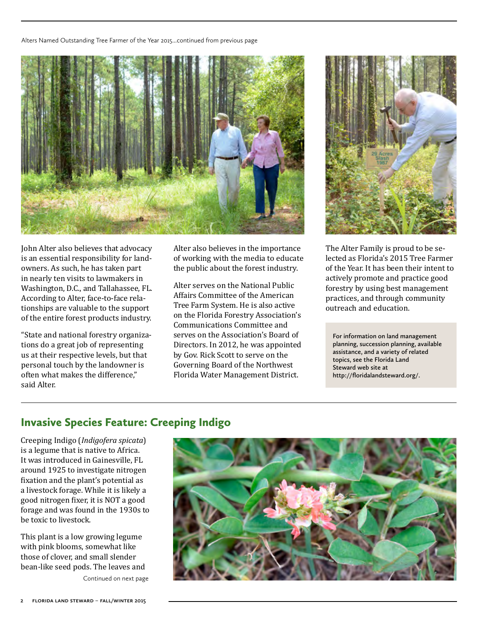<span id="page-1-0"></span>Alters Named Outstanding Tree Farmer of the Year 2015...continued from previous page



John Alter also believes that advocacy is an essential responsibility for landowners. As such, he has taken part in nearly ten visits to lawmakers in Washington, D.C., and Tallahassee, FL. According to Alter, face-to-face relationships are valuable to the support of the entire forest products industry.

"State and national forestry organizations do a great job of representing us at their respective levels, but that personal touch by the landowner is often what makes the difference," said Alter.

Alter also believes in the importance of working with the media to educate the public about the forest industry.

Alter serves on the National Public Affairs Committee of the American Tree Farm System. He is also active on the Florida Forestry Association's Communications Committee and serves on the Association's Board of Directors. In 2012, he was appointed by Gov. Rick Scott to serve on the Governing Board of the Northwest Florida Water Management District.



The Alter Family is proud to be selected as Florida's 2015 Tree Farmer of the Year. It has been their intent to actively promote and practice good forestry by using best management practices, and through community outreach and education.

**For information on land management planning, succession planning, available assistance, and a variety of related topics, see the Florida Land Steward web site at <http://floridalandsteward.org/>.**

### Invasive Species Feature: Creeping Indigo

Creeping Indigo (*Indigofera spicata*) is a legume that is native to Africa. It was introduced in Gainesville, FL around 1925 to investigate nitrogen fixation and the plant's potential as a livestock forage. While it is likely a good nitrogen fixer, it is NOT a good forage and was found in the 1930s to be toxic to livestock.

This plant is a low growing legume with pink blooms, somewhat like those of clover, and small slender bean-like seed pods. The leaves and Continued on next page

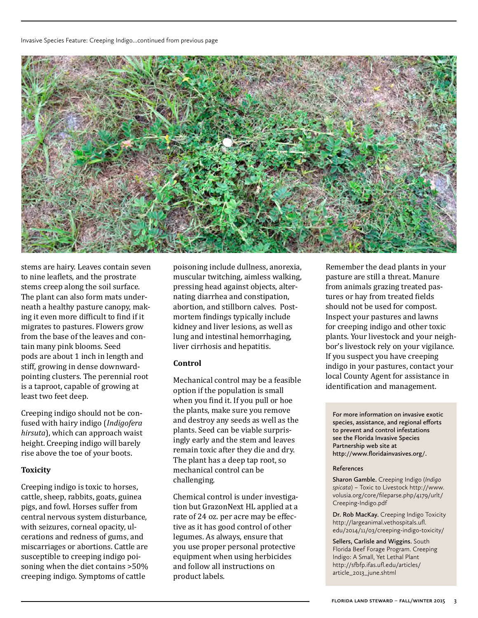#### Invasive Species Feature: Creeping Indigo...continued from previous page



stems are hairy. Leaves contain seven to nine leaflets, and the prostrate stems creep along the soil surface. The plant can also form mats underneath a healthy pasture canopy, making it even more difficult to find if it migrates to pastures. Flowers grow from the base of the leaves and contain many pink blooms. Seed pods are about 1 inch in length and stiff, growing in dense downwardpointing clusters. The perennial root is a taproot, capable of growing at least two feet deep.

Creeping indigo should not be confused with hairy indigo (*Indigofera hirsuta*), which can approach waist height. Creeping indigo will barely rise above the toe of your boots.

#### **Toxicity**

Creeping indigo is toxic to horses, cattle, sheep, rabbits, goats, guinea pigs, and fowl. Horses suffer from central nervous system disturbance, with seizures, corneal opacity, ulcerations and redness of gums, and miscarriages or abortions. Cattle are susceptible to creeping indigo poisoning when the diet contains >50% creeping indigo. Symptoms of cattle

poisoning include dullness, anorexia, muscular twitching, aimless walking, pressing head against objects, alternating diarrhea and constipation, abortion, and stillborn calves. Postmortem findings typically include kidney and liver lesions, as well as lung and intestinal hemorrhaging, liver cirrhosis and hepatitis.

#### **Control**

Mechanical control may be a feasible option if the population is small when you find it. If you pull or hoe the plants, make sure you remove and destroy any seeds as well as the plants. Seed can be viable surprisingly early and the stem and leaves remain toxic after they die and dry. The plant has a deep tap root, so mechanical control can be challenging.

Chemical control is under investigation but GrazonNext HL applied at a rate of 24 oz. per acre may be effective as it has good control of other legumes. As always, ensure that you use proper personal protective equipment when using herbicides and follow all instructions on product labels.

Remember the dead plants in your pasture are still a threat. Manure from animals grazing treated pastures or hay from treated fields should not be used for compost. Inspect your pastures and lawns for creeping indigo and other toxic plants. Your livestock and your neighbor's livestock rely on your vigilance. If you suspect you have creeping indigo in your pastures, contact your local County Agent for assistance in identification and management.

**For more information on invasive exotic species, assistance, and regional efforts to prevent and control infestations see the Florida Invasive Species Partnership web site at [http://www.floridainvasives.org/.](http://www.floridainvasives.org/)**

#### **References**

**Sharon Gamble.** Creeping Indigo (*Indigo spicata*) – Toxic to Livestock [http://www.](http://www.volusia.org/core/fileparse.php/4179/urlt/Creeping-Indigo.pdf) [volusia.org/core/fileparse.php/4179/urlt/](http://www.volusia.org/core/fileparse.php/4179/urlt/Creeping-Indigo.pdf) [Creeping-Indigo.pdf](http://www.volusia.org/core/fileparse.php/4179/urlt/Creeping-Indigo.pdf)

**Dr. Rob MacKay.** Creeping Indigo Toxicity [http://largeanimal.vethospitals.ufl.](http://largeanimal.vethospitals.ufl.edu/2014/11/03/creeping-indigo-toxicity/) [edu/2014/11/03/creeping-indigo-toxicity/](http://largeanimal.vethospitals.ufl.edu/2014/11/03/creeping-indigo-toxicity/)

**Sellers, Carlisle and Wiggins.** South Florida Beef Forage Program. Creeping Indigo: A Small, Yet Lethal Plant [http://sfbfp.ifas.ufl.edu/articles/](http://sfbfp.ifas.ufl.edu/articles/article_2013_june.shtml) [article\\_2013\\_june.shtml](http://sfbfp.ifas.ufl.edu/articles/article_2013_june.shtml)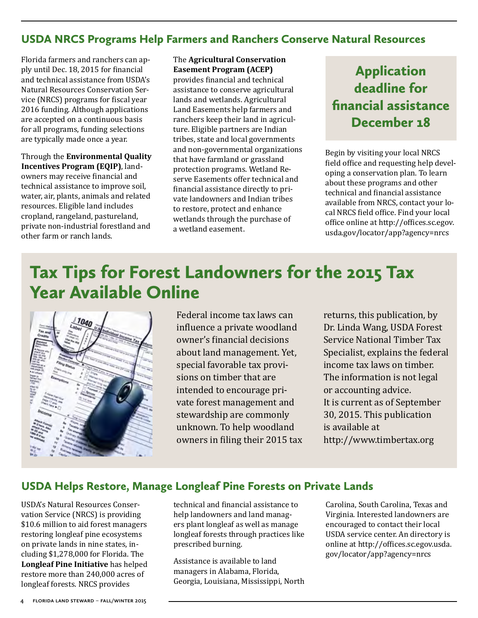### <span id="page-3-0"></span>USDA NRCS Programs Help Farmers and Ranchers Conserve Natural Resources

Florida farmers and ranchers can apply until Dec. 18, 2015 for financial and technical assistance from USDA's Natural Resources Conservation Service (NRCS) programs for fiscal year 2016 funding. Although applications are accepted on a continuous basis for all programs, funding selections are typically made once a year.

Through the **Environmental Quality Incentives Program (EQIP)**, landowners may receive financial and technical assistance to improve soil, water, air, plants, animals and related resources. Eligible land includes cropland, rangeland, pastureland, private non-industrial forestland and other farm or ranch lands.

### The **Agricultural Conservation Easement Program (ACEP)**

provides financial and technical assistance to conserve agricultural lands and wetlands. Agricultural Land Easements help farmers and ranchers keep their land in agriculture. Eligible partners are Indian tribes, state and local governments and non-governmental organizations that have farmland or grassland protection programs. Wetland Reserve Easements offer technical and financial assistance directly to private landowners and Indian tribes to restore, protect and enhance wetlands through the purchase of a wetland easement.

# Application deadline for financial assistance December 18

Begin by visiting your local NRCS field office and requesting help developing a conservation plan. To learn about these programs and other technical and financial assistance available from NRCS, contact your local NRCS field office. Find your local office online at [http://offices.sc.egov.](http://offices.sc.egov.usda.gov/locator/app?agency=nrcs) [usda.gov/locator/app?agency=nrcs](http://offices.sc.egov.usda.gov/locator/app?agency=nrcs)

# Tax Tips for Forest Landowners for the 2015 Tax Year Available Online



Federal income tax laws can influence a private woodland owner's financial decisions about land management. Yet, special favorable tax provisions on timber that are intended to encourage private forest management and stewardship are commonly unknown. To help woodland owners in filing their 2015 tax

returns, this publication, by Dr. Linda Wang, USDA Forest Service National Timber Tax Specialist, explains the federal income tax laws on timber. The information is not legal or accounting advice. It is current as of September 30, 2015. This publication is available at <http://www.timbertax.org>

### USDA Helps Restore, Manage Longleaf Pine Forests on Private Lands

USDA's Natural Resources Conservation Service (NRCS) is providing \$10.6 million to aid forest managers restoring longleaf pine ecosystems on private lands in nine states, including \$1,278,000 for Florida. The **Longleaf Pine Initiative** has helped restore more than 240,000 acres of longleaf forests. NRCS provides

technical and financial assistance to help landowners and land managers plant longleaf as well as manage longleaf forests through practices like prescribed burning.

Assistance is available to land managers in Alabama, Florida, Georgia, Louisiana, Mississippi, North

Carolina, South Carolina, Texas and Virginia. Interested landowners are encouraged to contact their local USDA service center. An directory is online at [http://offices.sc.egov.usda.](http://offices.sc.egov.usda.gov/locator/app?agency=nrcs) [gov/locator/app?agency=nrcs](http://offices.sc.egov.usda.gov/locator/app?agency=nrcs)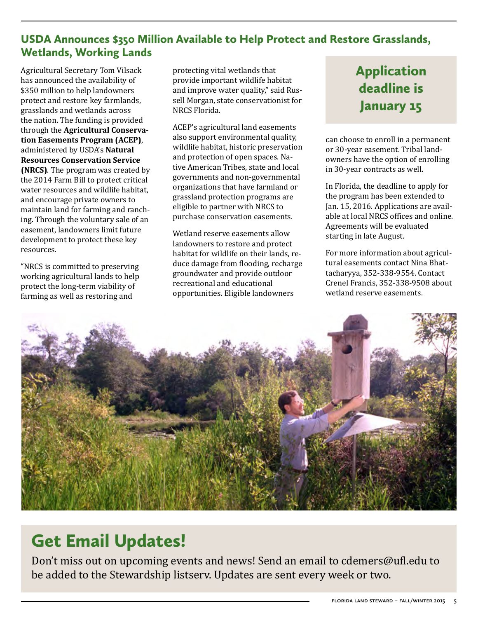### <span id="page-4-0"></span>USDA Announces \$350 Million Available to Help Protect and Restore Grasslands, Wetlands, Working Lands

Agricultural Secretary Tom Vilsack has announced the availability of \$350 million to help landowners protect and restore key farmlands, grasslands and wetlands across the nation. The funding is provided through the **Agricultural Conservation Easements Program (ACEP)**, administered by USDA's **Natural Resources Conservation Service (NRCS)**. The program was created by the 2014 Farm Bill to protect critical water resources and wildlife habitat, and encourage private owners to maintain land for farming and ranching. Through the voluntary sale of an easement, landowners limit future development to protect these key resources.

"NRCS is committed to preserving working agricultural lands to help protect the long-term viability of farming as well as restoring and

protecting vital wetlands that provide important wildlife habitat and improve water quality," said Russell Morgan, state conservationist for NRCS Florida.

ACEP's agricultural land easements also support environmental quality, wildlife habitat, historic preservation and protection of open spaces. Native American Tribes, state and local governments and non-governmental organizations that have farmland or grassland protection programs are eligible to partner with NRCS to purchase conservation easements.

Wetland reserve easements allow landowners to restore and protect habitat for wildlife on their lands, reduce damage from flooding, recharge groundwater and provide outdoor recreational and educational opportunities. Eligible landowners

# Application deadline is January 15

can choose to enroll in a permanent or 30-year easement. Tribal landowners have the option of enrolling in 30-year contracts as well.

In Florida, the deadline to apply for the program has been extended to Jan. 15, 2016. Applications are available at local NRCS offices and online. Agreements will be evaluated starting in late August.

For more information about agricultural easements contact Nina Bhattacharyya, 352-338-9554. Contact Crenel Francis, 352-338-9508 about wetland reserve easements.



# Get Email Updates!

Don't miss out on upcoming events and news! Send an email to [cdemers@ufl.edu](mailto:cdemers%40ufl.edu?subject=) to be added to the Stewardship listserv. Updates are sent every week or two.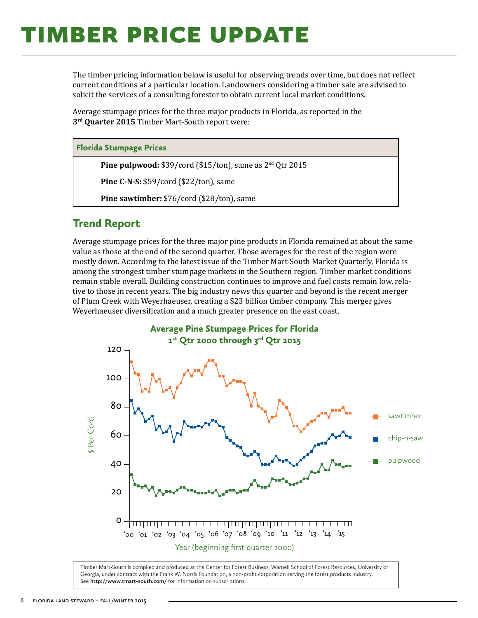# <span id="page-5-0"></span>**TIMBER PRICE UPDATE**

The timber pricing information below is useful for observing trends over time, but does not reflect current conditions at a particular location. Landowners considering a timber sale are advised to solicit the services of a consulting forester to obtain current local market conditions.

Average stumpage prices for the three major products in Florida, as reported in the **3rd Quarter 2015** Timber Mart-South report were:

#### Florida Stumpage Prices

**Pine pulpwood:** \$39/cord (\$15/ton), same as 2<sup>nd</sup> Qtr 2015

**Pine C-N-S:** \$59/cord (\$22/ton), same

**Pine sawtimber:** \$76/cord (\$28/ton), same

### Trend Report

Average stumpage prices for the three major pine products in Florida remained at about the same value as those at the end of the second quarter. Those averages for the rest of the region were mostly down. According to the latest issue of the Timber Mart-South Market Quarterly, Florida is among the strongest timber stumpage markets in the Southern region. Timber market conditions remain stable overall. Building construction continues to improve and fuel costs remain low, relative to those in recent years. The big industry news this quarter and beyond is the recent merger of Plum Creek with Weyerhaeuser, creating a \$23 billion timber company. This merger gives Weyerhaeuser diversification and a much greater presence on the east coast.



Timber Mart-South is compiled and produced at the Center for Forest Business, Warnell School of Forest Resources, University of Georgia, under contract with the Frank W. Norris Foundation, a non-profit corporation serving the forest products industry. See **<http://www.tmart-south.com/>** for information on subscriptions.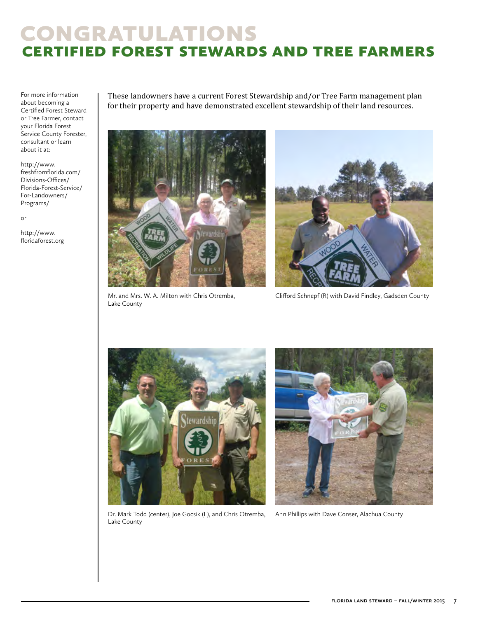# <span id="page-6-0"></span>**CONGRATULATIONS** certified forest stewards and tree farmers

For more information about becoming a Certified Forest Steward or Tree Farmer, contact your Florida Forest Service County Forester, consultant or learn about it at:

[http://www.](http://www.freshfromflorida.com/Divisions-Offices/Florida-Forest-Service/For-Landowners/Programs/) [freshfromflorida.com/](http://www.freshfromflorida.com/Divisions-Offices/Florida-Forest-Service/For-Landowners/Programs/) [Divisions-Offices/](http://www.freshfromflorida.com/Divisions-Offices/Florida-Forest-Service/For-Landowners/Programs/) [Florida-Forest-Service/](http://www.freshfromflorida.com/Divisions-Offices/Florida-Forest-Service/For-Landowners/Programs/) [For-Landowners/](http://www.freshfromflorida.com/Divisions-Offices/Florida-Forest-Service/For-Landowners/Programs/) [Programs/](http://www.freshfromflorida.com/Divisions-Offices/Florida-Forest-Service/For-Landowners/Programs/)

or

http://[www.](http://www.floridaforest.org) [floridaforest.org](http://www.floridaforest.org) These landowners have a current Forest Stewardship and/or Tree Farm management plan for their property and have demonstrated excellent stewardship of their land resources.



Mr. and Mrs. W. A. Milton with Chris Otremba, Lake County



Clifford Schnepf (R) with David Findley, Gadsden County



Dr. Mark Todd (center), Joe Gocsik (L), and Chris Otremba, Lake County



Ann Phillips with Dave Conser, Alachua County